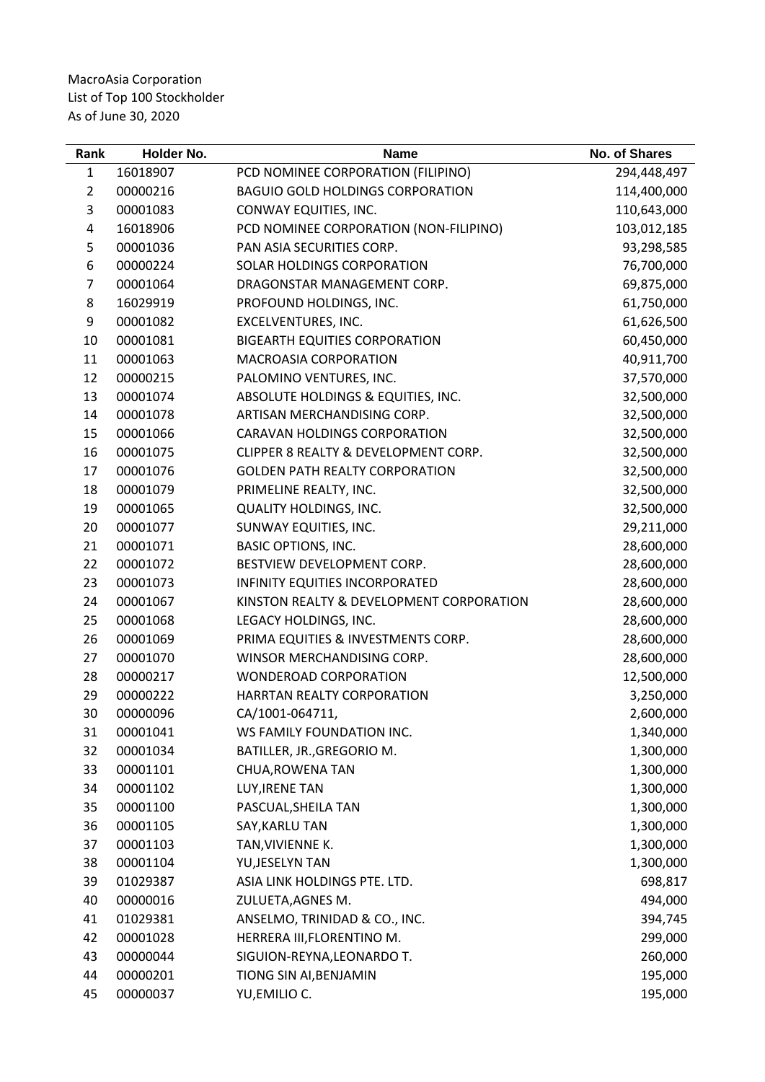| Rank           | Holder No. | <b>Name</b>                              | <b>No. of Shares</b> |
|----------------|------------|------------------------------------------|----------------------|
| 1              | 16018907   | PCD NOMINEE CORPORATION (FILIPINO)       | 294,448,497          |
| $\overline{2}$ | 00000216   | <b>BAGUIO GOLD HOLDINGS CORPORATION</b>  | 114,400,000          |
| 3              | 00001083   | CONWAY EQUITIES, INC.                    | 110,643,000          |
| 4              | 16018906   | PCD NOMINEE CORPORATION (NON-FILIPINO)   | 103,012,185          |
| 5              | 00001036   | PAN ASIA SECURITIES CORP.                | 93,298,585           |
| 6              | 00000224   | SOLAR HOLDINGS CORPORATION               | 76,700,000           |
| 7              | 00001064   | DRAGONSTAR MANAGEMENT CORP.              | 69,875,000           |
| 8              | 16029919   | PROFOUND HOLDINGS, INC.                  | 61,750,000           |
| 9              | 00001082   | EXCELVENTURES, INC.                      | 61,626,500           |
| 10             | 00001081   | <b>BIGEARTH EQUITIES CORPORATION</b>     | 60,450,000           |
| 11             | 00001063   | MACROASIA CORPORATION                    | 40,911,700           |
| 12             | 00000215   | PALOMINO VENTURES, INC.                  | 37,570,000           |
| 13             | 00001074   | ABSOLUTE HOLDINGS & EQUITIES, INC.       | 32,500,000           |
| 14             | 00001078   | ARTISAN MERCHANDISING CORP.              | 32,500,000           |
| 15             | 00001066   | <b>CARAVAN HOLDINGS CORPORATION</b>      | 32,500,000           |
| 16             | 00001075   | CLIPPER 8 REALTY & DEVELOPMENT CORP.     | 32,500,000           |
| 17             | 00001076   | <b>GOLDEN PATH REALTY CORPORATION</b>    | 32,500,000           |
| 18             | 00001079   | PRIMELINE REALTY, INC.                   | 32,500,000           |
| 19             | 00001065   | <b>QUALITY HOLDINGS, INC.</b>            | 32,500,000           |
| 20             | 00001077   | SUNWAY EQUITIES, INC.                    | 29,211,000           |
| 21             | 00001071   | <b>BASIC OPTIONS, INC.</b>               | 28,600,000           |
| 22             | 00001072   | BESTVIEW DEVELOPMENT CORP.               | 28,600,000           |
| 23             | 00001073   | INFINITY EQUITIES INCORPORATED           | 28,600,000           |
| 24             | 00001067   | KINSTON REALTY & DEVELOPMENT CORPORATION | 28,600,000           |
| 25             | 00001068   | LEGACY HOLDINGS, INC.                    | 28,600,000           |
| 26             | 00001069   | PRIMA EQUITIES & INVESTMENTS CORP.       | 28,600,000           |
| 27             | 00001070   | WINSOR MERCHANDISING CORP.               | 28,600,000           |
| 28             | 00000217   | <b>WONDEROAD CORPORATION</b>             | 12,500,000           |
| 29             | 00000222   | HARRTAN REALTY CORPORATION               | 3,250,000            |
| 30             | 00000096   | CA/1001-064711,                          | 2,600,000            |
| 31             | 00001041   | WS FAMILY FOUNDATION INC.                | 1,340,000            |
| 32             | 00001034   | BATILLER, JR., GREGORIO M.               | 1,300,000            |
| 33             | 00001101   | CHUA, ROWENA TAN                         | 1,300,000            |
| 34             | 00001102   | LUY, IRENE TAN                           | 1,300,000            |
| 35             | 00001100   | PASCUAL, SHEILA TAN                      | 1,300,000            |
| 36             | 00001105   | SAY, KARLU TAN                           | 1,300,000            |
| 37             | 00001103   | TAN, VIVIENNE K.                         | 1,300,000            |
| 38             | 00001104   | YU, JESELYN TAN                          | 1,300,000            |
| 39             | 01029387   | ASIA LINK HOLDINGS PTE. LTD.             | 698,817              |
| 40             | 00000016   | ZULUETA, AGNES M.                        | 494,000              |
| 41             | 01029381   | ANSELMO, TRINIDAD & CO., INC.            | 394,745              |
| 42             | 00001028   | HERRERA III, FLORENTINO M.               | 299,000              |
| 43             | 00000044   | SIGUION-REYNA, LEONARDO T.               | 260,000              |
| 44             | 00000201   | TIONG SIN AI, BENJAMIN                   | 195,000              |
| 45             | 00000037   | YU, EMILIO C.                            | 195,000              |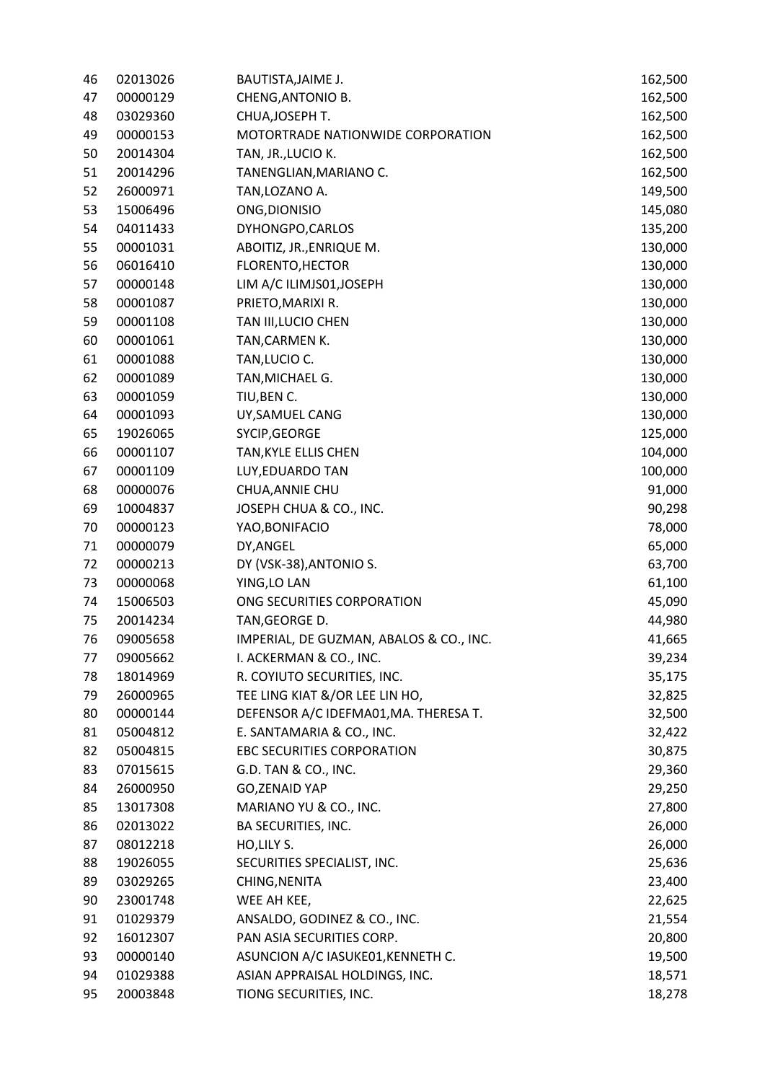| 46 | 02013026 | BAUTISTA, JAIME J.                      | 162,500 |
|----|----------|-----------------------------------------|---------|
| 47 | 00000129 | CHENG, ANTONIO B.                       | 162,500 |
| 48 | 03029360 | CHUA, JOSEPH T.                         | 162,500 |
| 49 | 00000153 | MOTORTRADE NATIONWIDE CORPORATION       | 162,500 |
| 50 | 20014304 | TAN, JR., LUCIO K.                      | 162,500 |
| 51 | 20014296 | TANENGLIAN, MARIANO C.                  | 162,500 |
| 52 | 26000971 | TAN, LOZANO A.                          | 149,500 |
| 53 | 15006496 | ONG, DIONISIO                           | 145,080 |
| 54 | 04011433 | DYHONGPO, CARLOS                        | 135,200 |
| 55 | 00001031 | ABOITIZ, JR., ENRIQUE M.                | 130,000 |
| 56 | 06016410 | FLORENTO, HECTOR                        | 130,000 |
| 57 | 00000148 | LIM A/C ILIMJS01, JOSEPH                | 130,000 |
| 58 | 00001087 | PRIETO, MARIXI R.                       | 130,000 |
| 59 | 00001108 | TAN III, LUCIO CHEN                     | 130,000 |
| 60 | 00001061 | TAN, CARMEN K.                          | 130,000 |
| 61 | 00001088 | TAN, LUCIO C.                           | 130,000 |
| 62 | 00001089 | TAN, MICHAEL G.                         | 130,000 |
| 63 | 00001059 | TIU, BEN C.                             | 130,000 |
| 64 | 00001093 | UY, SAMUEL CANG                         | 130,000 |
| 65 | 19026065 | SYCIP, GEORGE                           | 125,000 |
| 66 | 00001107 | TAN, KYLE ELLIS CHEN                    | 104,000 |
| 67 | 00001109 | LUY, EDUARDO TAN                        | 100,000 |
| 68 | 00000076 | CHUA, ANNIE CHU                         | 91,000  |
| 69 | 10004837 | JOSEPH CHUA & CO., INC.                 | 90,298  |
| 70 | 00000123 | YAO, BONIFACIO                          | 78,000  |
| 71 | 00000079 | DY, ANGEL                               | 65,000  |
| 72 | 00000213 | DY (VSK-38), ANTONIO S.                 | 63,700  |
| 73 | 00000068 | YING, LO LAN                            | 61,100  |
| 74 | 15006503 | ONG SECURITIES CORPORATION              | 45,090  |
| 75 | 20014234 | TAN, GEORGE D.                          | 44,980  |
| 76 | 09005658 | IMPERIAL, DE GUZMAN, ABALOS & CO., INC. | 41,665  |
| 77 | 09005662 | I. ACKERMAN & CO., INC.                 | 39,234  |
| 78 | 18014969 | R. COYIUTO SECURITIES, INC.             | 35,175  |
| 79 | 26000965 | TEE LING KIAT &/OR LEE LIN HO,          | 32,825  |
| 80 | 00000144 | DEFENSOR A/C IDEFMA01, MA. THERESA T.   | 32,500  |
| 81 | 05004812 | E. SANTAMARIA & CO., INC.               | 32,422  |
| 82 | 05004815 | <b>EBC SECURITIES CORPORATION</b>       | 30,875  |
| 83 | 07015615 | G.D. TAN & CO., INC.                    | 29,360  |
| 84 | 26000950 | <b>GO, ZENAID YAP</b>                   | 29,250  |
| 85 | 13017308 | MARIANO YU & CO., INC.                  | 27,800  |
| 86 | 02013022 | BA SECURITIES, INC.                     | 26,000  |
| 87 | 08012218 | HO, LILY S.                             | 26,000  |
| 88 | 19026055 | SECURITIES SPECIALIST, INC.             | 25,636  |
| 89 | 03029265 | CHING, NENITA                           | 23,400  |
| 90 | 23001748 | WEE AH KEE,                             | 22,625  |
| 91 | 01029379 | ANSALDO, GODINEZ & CO., INC.            | 21,554  |
| 92 | 16012307 | PAN ASIA SECURITIES CORP.               | 20,800  |
| 93 | 00000140 | ASUNCION A/C IASUKE01, KENNETH C.       | 19,500  |
| 94 | 01029388 | ASIAN APPRAISAL HOLDINGS, INC.          | 18,571  |
| 95 | 20003848 | TIONG SECURITIES, INC.                  | 18,278  |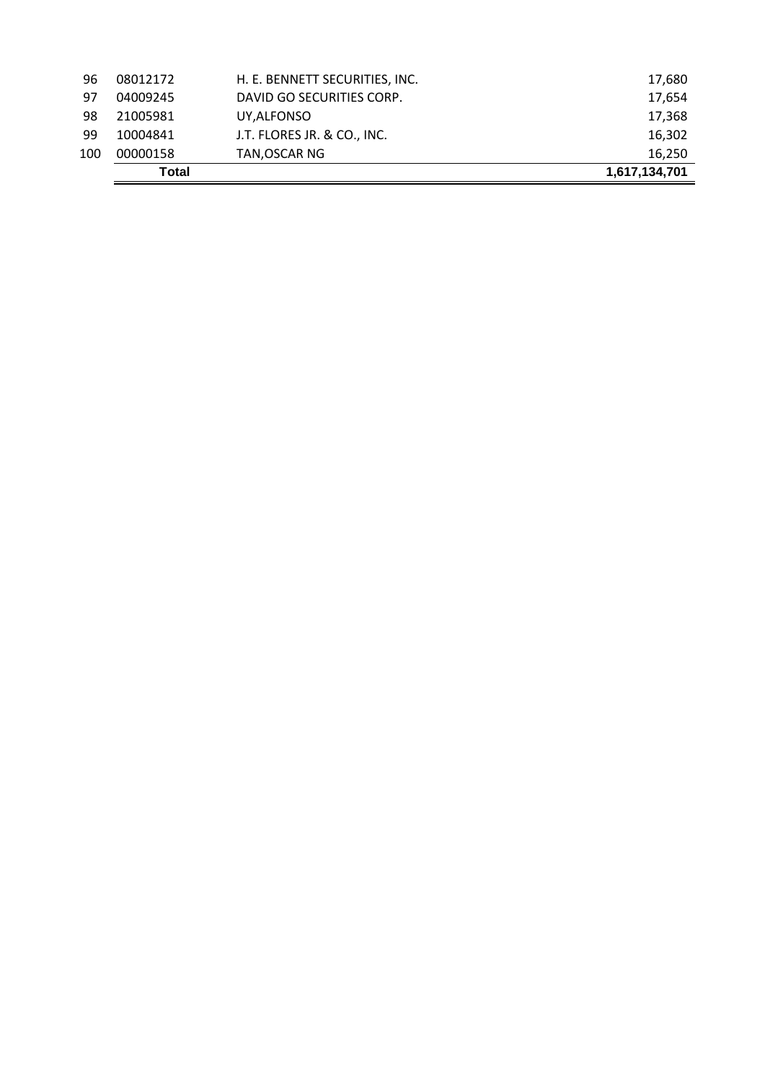|     | Total    |                                | 1,617,134,701 |
|-----|----------|--------------------------------|---------------|
| 100 | 00000158 | TAN, OSCAR NG                  | 16,250        |
| 99  | 10004841 | J.T. FLORES JR. & CO., INC.    | 16,302        |
| 98  | 21005981 | UY,ALFONSO                     | 17,368        |
| 97  | 04009245 | DAVID GO SECURITIES CORP.      | 17,654        |
| 96  | 08012172 | H. E. BENNETT SECURITIES, INC. | 17,680        |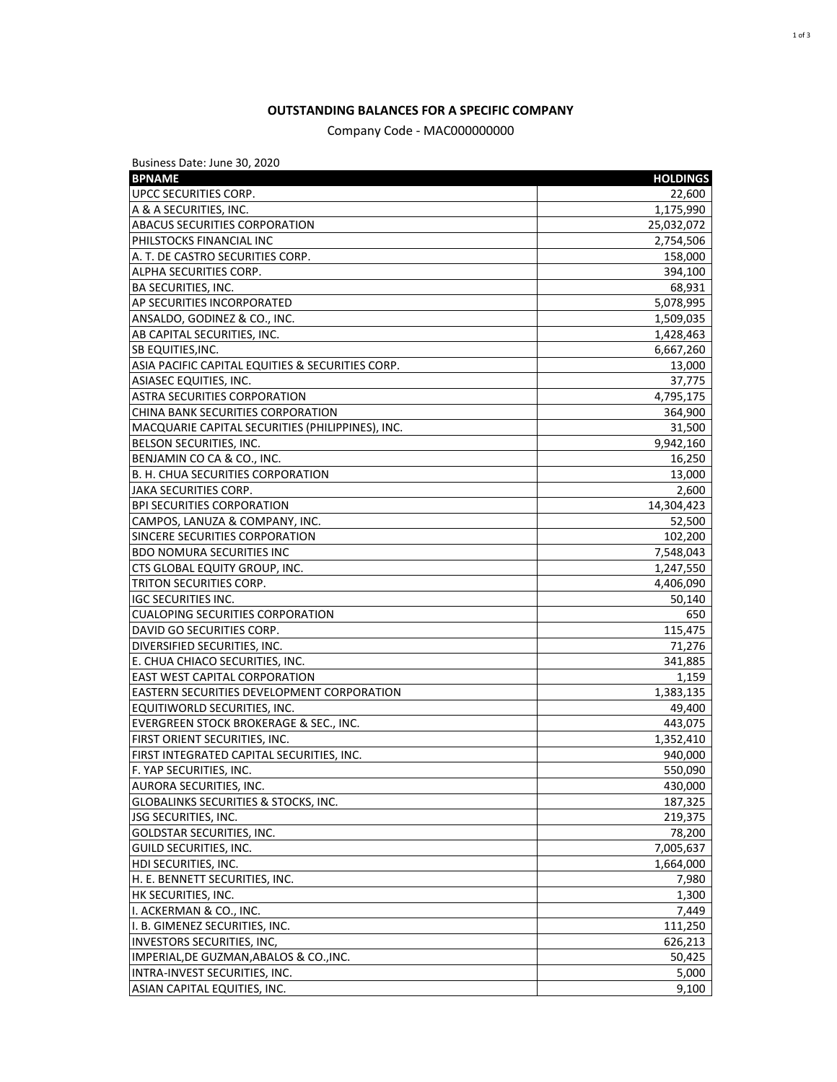## **OUTSTANDING BALANCES FOR A SPECIFIC COMPANY**

## Company Code - MAC000000000

Business Date: June 30, 2020

| <b>BPNAME</b>                                         | <b>HOLDINGS</b> |
|-------------------------------------------------------|-----------------|
| UPCC SECURITIES CORP.                                 | 22,600          |
| A & A SECURITIES, INC.                                | 1,175,990       |
| <b>ABACUS SECURITIES CORPORATION</b>                  | 25,032,072      |
| PHILSTOCKS FINANCIAL INC                              | 2,754,506       |
| A. T. DE CASTRO SECURITIES CORP.                      | 158,000         |
| ALPHA SECURITIES CORP.                                | 394,100         |
| <b>BA SECURITIES, INC.</b>                            | 68,931          |
| AP SECURITIES INCORPORATED                            | 5,078,995       |
| ANSALDO, GODINEZ & CO., INC.                          | 1,509,035       |
| AB CAPITAL SECURITIES, INC.                           | 1,428,463       |
| SB EQUITIES, INC.                                     | 6,667,260       |
| ASIA PACIFIC CAPITAL EQUITIES & SECURITIES CORP.      | 13,000          |
| ASIASEC EQUITIES, INC.                                | 37,775          |
| <b>ASTRA SECURITIES CORPORATION</b>                   | 4,795,175       |
| CHINA BANK SECURITIES CORPORATION                     | 364,900         |
| MACQUARIE CAPITAL SECURITIES (PHILIPPINES), INC.      | 31,500          |
| BELSON SECURITIES, INC.                               | 9,942,160       |
| BENJAMIN CO CA & CO., INC.                            | 16,250          |
| B. H. CHUA SECURITIES CORPORATION                     | 13,000          |
| <b>JAKA SECURITIES CORP.</b>                          | 2,600           |
| <b>BPI SECURITIES CORPORATION</b>                     | 14,304,423      |
| CAMPOS, LANUZA & COMPANY, INC.                        | 52,500          |
| SINCERE SECURITIES CORPORATION                        | 102,200         |
| <b>BDO NOMURA SECURITIES INC</b>                      | 7,548,043       |
| CTS GLOBAL EQUITY GROUP, INC.                         | 1,247,550       |
| TRITON SECURITIES CORP.                               | 4,406,090       |
| <b>IGC SECURITIES INC.</b>                            | 50,140          |
| CUALOPING SECURITIES CORPORATION                      | 650             |
| DAVID GO SECURITIES CORP.                             | 115,475         |
| DIVERSIFIED SECURITIES, INC.                          | 71,276          |
| E. CHUA CHIACO SECURITIES, INC.                       | 341,885         |
| <b>EAST WEST CAPITAL CORPORATION</b>                  | 1,159           |
| <b>EASTERN SECURITIES DEVELOPMENT CORPORATION</b>     | 1,383,135       |
| EQUITIWORLD SECURITIES, INC.                          | 49,400          |
| <b>EVERGREEN STOCK BROKERAGE &amp; SEC., INC.</b>     | 443,075         |
| FIRST ORIENT SECURITIES, INC.                         | 1,352,410       |
| FIRST INTEGRATED CAPITAL SECURITIES, INC.             | 940,000         |
| F. YAP SECURITIES, INC.                               | 550,090         |
| AURORA SECURITIES, INC.                               | 430,000         |
| <b>GLOBALINKS SECURITIES &amp; STOCKS, INC.</b>       | 187,325         |
| JSG SECURITIES, INC.                                  | 219,375         |
| GOLDSTAR SECURITIES, INC.                             | 78,200          |
| <b>GUILD SECURITIES, INC.</b>                         | 7,005,637       |
| HDI SECURITIES, INC.                                  | 1,664,000       |
|                                                       |                 |
| H. E. BENNETT SECURITIES, INC.<br>HK SECURITIES, INC. | 7,980<br>1,300  |
| I. ACKERMAN & CO., INC.                               |                 |
|                                                       | 7,449           |
| I. B. GIMENEZ SECURITIES, INC.                        | 111,250         |
| INVESTORS SECURITIES, INC,                            | 626,213         |
| IMPERIAL, DE GUZMAN, ABALOS & CO., INC.               | 50,425          |
| INTRA-INVEST SECURITIES, INC.                         | 5,000           |
| ASIAN CAPITAL EQUITIES, INC.                          | 9,100           |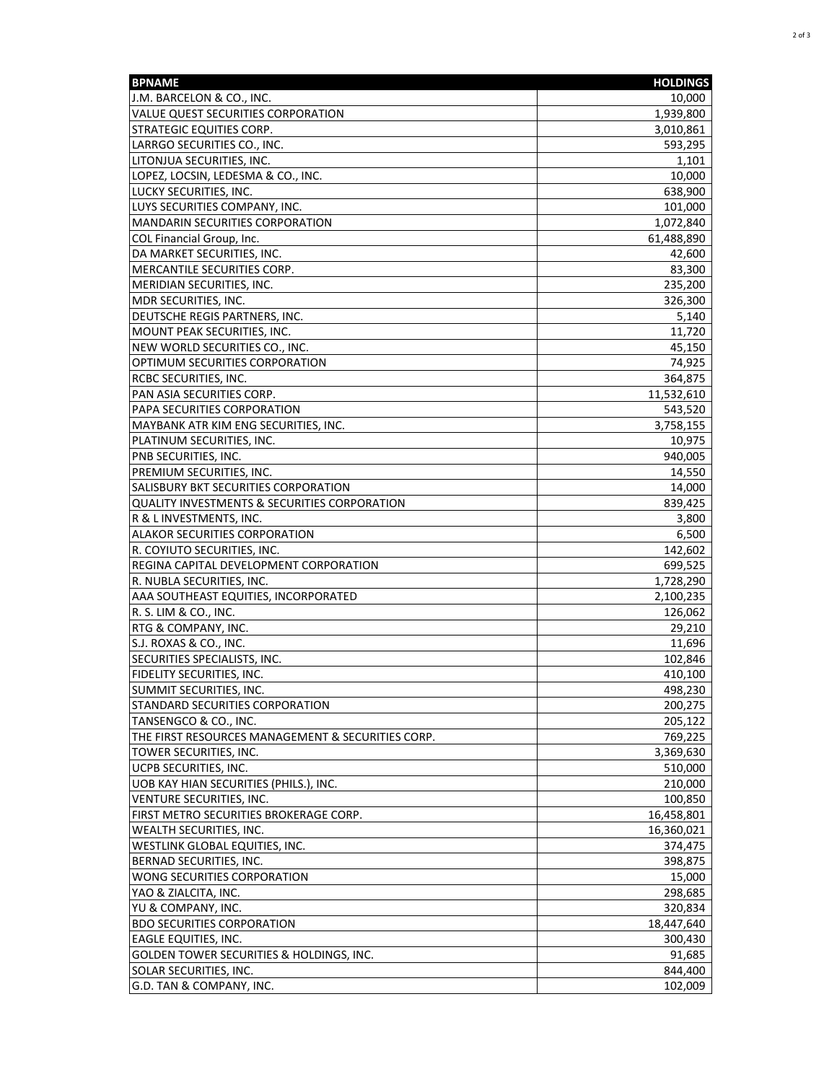| <b>BPNAME</b>                                                            | <b>HOLDINGS</b>          |
|--------------------------------------------------------------------------|--------------------------|
| J.M. BARCELON & CO., INC.                                                | 10,000                   |
| VALUE QUEST SECURITIES CORPORATION                                       | 1,939,800                |
| <b>STRATEGIC EQUITIES CORP.</b>                                          | 3,010,861                |
| LARRGO SECURITIES CO., INC.                                              | 593,295                  |
| LITONJUA SECURITIES, INC.                                                | 1,101                    |
| LOPEZ, LOCSIN, LEDESMA & CO., INC.                                       | 10,000                   |
| LUCKY SECURITIES, INC.                                                   | 638,900                  |
| LUYS SECURITIES COMPANY, INC.                                            | 101,000                  |
| <b>MANDARIN SECURITIES CORPORATION</b>                                   | 1,072,840                |
| COL Financial Group, Inc.                                                | 61,488,890               |
| DA MARKET SECURITIES, INC.                                               | 42,600                   |
| MERCANTILE SECURITIES CORP.                                              | 83,300                   |
| MERIDIAN SECURITIES, INC.                                                | 235,200                  |
| MDR SECURITIES, INC.                                                     | 326,300                  |
| DEUTSCHE REGIS PARTNERS, INC.                                            | 5,140                    |
| MOUNT PEAK SECURITIES, INC.                                              | 11,720                   |
| NEW WORLD SECURITIES CO., INC.                                           | 45,150                   |
| OPTIMUM SECURITIES CORPORATION                                           | 74,925                   |
| RCBC SECURITIES, INC.                                                    | 364,875                  |
| PAN ASIA SECURITIES CORP.                                                | 11,532,610               |
| PAPA SECURITIES CORPORATION                                              | 543,520                  |
| MAYBANK ATR KIM ENG SECURITIES, INC.                                     | 3,758,155                |
| PLATINUM SECURITIES, INC.                                                | 10,975                   |
| PNB SECURITIES, INC.                                                     | 940,005                  |
| PREMIUM SECURITIES, INC.                                                 | 14,550                   |
| SALISBURY BKT SECURITIES CORPORATION                                     | 14,000                   |
| QUALITY INVESTMENTS & SECURITIES CORPORATION                             | 839,425                  |
| R & L INVESTMENTS, INC.                                                  | 3,800                    |
| <b>ALAKOR SECURITIES CORPORATION</b>                                     | 6,500                    |
| R. COYIUTO SECURITIES, INC.                                              | 142,602                  |
| REGINA CAPITAL DEVELOPMENT CORPORATION                                   | 699,525                  |
| R. NUBLA SECURITIES, INC.                                                | 1,728,290                |
| AAA SOUTHEAST EQUITIES, INCORPORATED                                     | 2,100,235                |
| R. S. LIM & CO., INC.                                                    | 126,062                  |
| <b>RTG &amp; COMPANY, INC.</b>                                           | 29,210                   |
| S.J. ROXAS & CO., INC.                                                   | 11,696                   |
| SECURITIES SPECIALISTS, INC.                                             | 102,846                  |
| FIDELITY SECURITIES, INC.                                                | 410,100                  |
|                                                                          |                          |
| SUMMIT SECURITIES, INC.                                                  | 498,230                  |
| STANDARD SECURITIES CORPORATION<br>TANSENGCO & CO., INC.                 | 200,275                  |
| THE FIRST RESOURCES MANAGEMENT & SECURITIES CORP.                        | 205,122                  |
|                                                                          | 769,225                  |
| TOWER SECURITIES, INC.<br><b>UCPB SECURITIES, INC.</b>                   | 3,369,630                |
|                                                                          | 510,000                  |
| UOB KAY HIAN SECURITIES (PHILS.), INC.<br>VENTURE SECURITIES, INC.       | 210,000                  |
|                                                                          | 100,850                  |
| FIRST METRO SECURITIES BROKERAGE CORP.<br><b>WEALTH SECURITIES, INC.</b> | 16,458,801<br>16,360,021 |
| WESTLINK GLOBAL EQUITIES, INC.                                           |                          |
| BERNAD SECURITIES, INC.                                                  | 374,475                  |
| WONG SECURITIES CORPORATION                                              | 398,875                  |
| YAO & ZIALCITA, INC.                                                     | 15,000                   |
|                                                                          | 298,685                  |
| YU & COMPANY, INC.<br><b>BDO SECURITIES CORPORATION</b>                  | 320,834<br>18,447,640    |
| <b>EAGLE EQUITIES, INC.</b>                                              | 300,430                  |
| <b>GOLDEN TOWER SECURITIES &amp; HOLDINGS, INC.</b>                      | 91,685                   |
| SOLAR SECURITIES, INC.                                                   | 844,400                  |
| G.D. TAN & COMPANY, INC.                                                 | 102,009                  |
|                                                                          |                          |